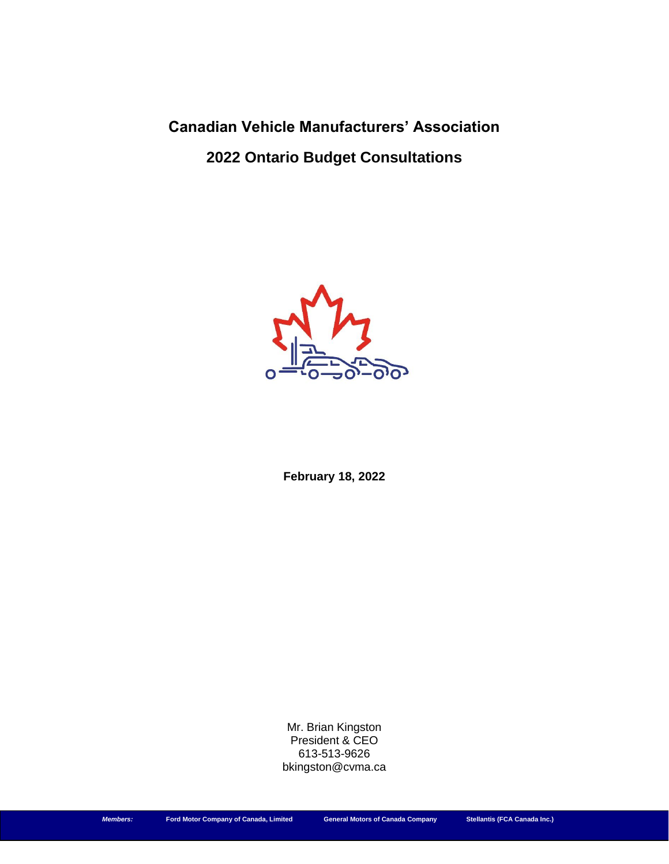**Canadian Vehicle Manufacturers' Association 2022 Ontario Budget Consultations**



**February 18, 2022**

Mr. Brian Kingston President & CEO 613-513-9626 bkingston@cvma.ca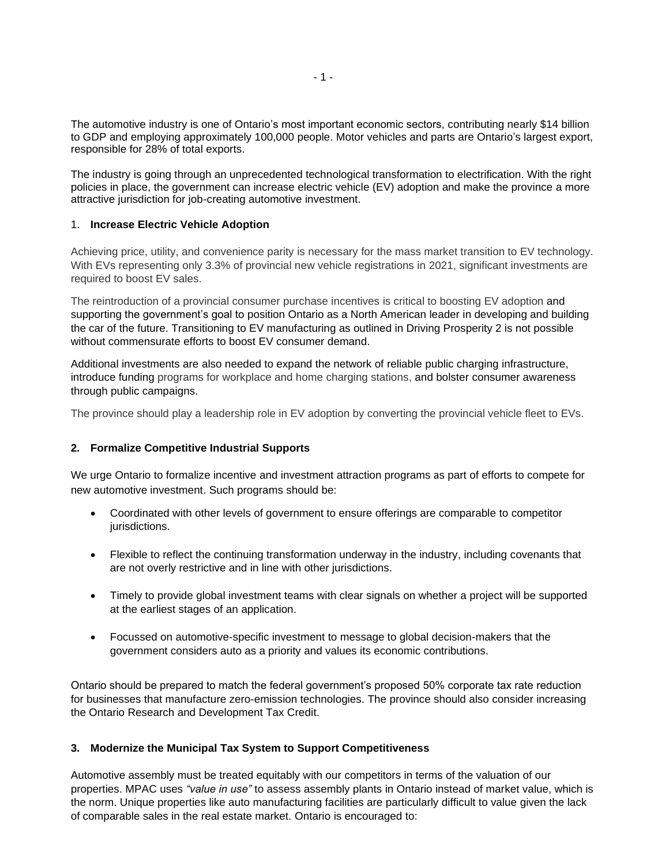The automotive industry is one of Ontario's most important economic sectors, contributing nearly \$14 billion to GDP and employing approximately 100,000 people. Motor vehicles and parts are Ontario's largest export, responsible for 28% of total exports.

The industry is going through an unprecedented technological transformation to electrification. With the right policies in place, the government can increase electric vehicle (EV) adoption and make the province a more attractive jurisdiction for job-creating automotive investment.

## 1. **Increase Electric Vehicle Adoption**

Achieving price, utility, and convenience parity is necessary for the mass market transition to EV technology. With EVs representing only 3.3% of provincial new vehicle registrations in 2021, significant investments are required to boost EV sales.

The reintroduction of a provincial consumer purchase incentives is critical to boosting EV adoption and supporting the government's goal to position Ontario as a North American leader in developing and building the car of the future. Transitioning to EV manufacturing as outlined in Driving Prosperity 2 is not possible without commensurate efforts to boost EV consumer demand.

Additional investments are also needed to expand the network of reliable public charging infrastructure, introduce funding programs for workplace and home charging stations, and bolster consumer awareness through public campaigns.

The province should play a leadership role in EV adoption by converting the provincial vehicle fleet to EVs.

## **2. Formalize Competitive Industrial Supports**

We urge Ontario to formalize incentive and investment attraction programs as part of efforts to compete for new automotive investment. Such programs should be:

- Coordinated with other levels of government to ensure offerings are comparable to competitor jurisdictions.
- Flexible to reflect the continuing transformation underway in the industry, including covenants that are not overly restrictive and in line with other jurisdictions.
- Timely to provide global investment teams with clear signals on whether a project will be supported at the earliest stages of an application.
- Focussed on automotive-specific investment to message to global decision-makers that the government considers auto as a priority and values its economic contributions.

Ontario should be prepared to match the federal government's proposed 50% corporate tax rate reduction for businesses that manufacture zero-emission technologies. The province should also consider increasing the Ontario Research and Development Tax Credit.

## **3. Modernize the Municipal Tax System to Support Competitiveness**

Automotive assembly must be treated equitably with our competitors in terms of the valuation of our properties. MPAC uses *"value in use"* to assess assembly plants in Ontario instead of market value, which is the norm. Unique properties like auto manufacturing facilities are particularly difficult to value given the lack of comparable sales in the real estate market. Ontario is encouraged to: